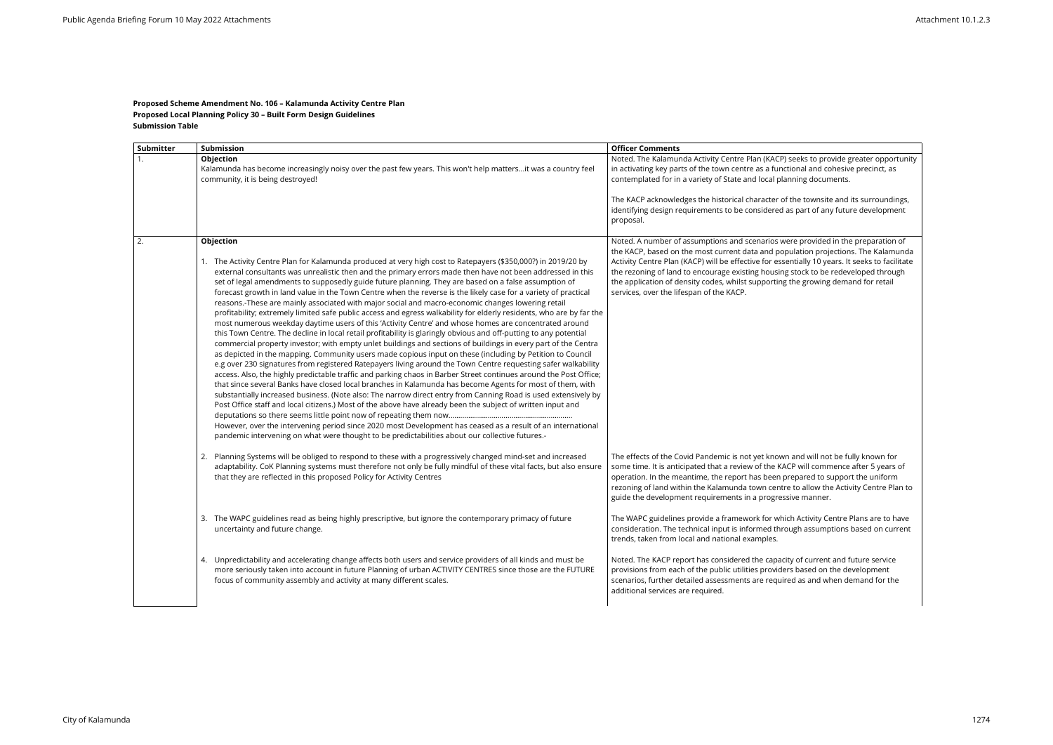## **Proposed Scheme Amendment No. 106 – Kalamunda Activity Centre Plan Proposed Local Planning Policy 30 – Built Form Design Guidelines Submission Table**

| <b>Submitter</b> | Submission                                                                                                                                                                                                                                                                                                                                                                                                                                                                                                                                                                                                                                                                                                                                                                                                                                                                                                                                                                                                                                                                                                                                                                                                                                                                                                                                                                                                                                                                                                                                                                                                                                                                                                                                                                                                                                                                                                                                                          | <b>Officer Comments</b>                                                                                                                                                                                                                                                                                                              |
|------------------|---------------------------------------------------------------------------------------------------------------------------------------------------------------------------------------------------------------------------------------------------------------------------------------------------------------------------------------------------------------------------------------------------------------------------------------------------------------------------------------------------------------------------------------------------------------------------------------------------------------------------------------------------------------------------------------------------------------------------------------------------------------------------------------------------------------------------------------------------------------------------------------------------------------------------------------------------------------------------------------------------------------------------------------------------------------------------------------------------------------------------------------------------------------------------------------------------------------------------------------------------------------------------------------------------------------------------------------------------------------------------------------------------------------------------------------------------------------------------------------------------------------------------------------------------------------------------------------------------------------------------------------------------------------------------------------------------------------------------------------------------------------------------------------------------------------------------------------------------------------------------------------------------------------------------------------------------------------------|--------------------------------------------------------------------------------------------------------------------------------------------------------------------------------------------------------------------------------------------------------------------------------------------------------------------------------------|
|                  | Objection<br>Kalamunda has become increasingly noisy over the past few years. This won't help mattersit was a country feel<br>community, it is being destroyed!                                                                                                                                                                                                                                                                                                                                                                                                                                                                                                                                                                                                                                                                                                                                                                                                                                                                                                                                                                                                                                                                                                                                                                                                                                                                                                                                                                                                                                                                                                                                                                                                                                                                                                                                                                                                     | Noted. The Kalamunda Activity Centre Plan (KACP) se<br>in activating key parts of the town centre as a functio<br>contemplated for in a variety of State and local plann<br>The KACP acknowledges the historical character of th<br>identifying design requirements to be considered as<br>proposal.                                 |
| 2.               | Objection<br>1. The Activity Centre Plan for Kalamunda produced at very high cost to Ratepayers (\$350,000?) in 2019/20 by<br>external consultants was unrealistic then and the primary errors made then have not been addressed in this<br>set of legal amendments to supposedly guide future planning. They are based on a false assumption of<br>forecast growth in land value in the Town Centre when the reverse is the likely case for a variety of practical<br>reasons.-These are mainly associated with major social and macro-economic changes lowering retail<br>profitability; extremely limited safe public access and egress walkability for elderly residents, who are by far the<br>most numerous weekday daytime users of this 'Activity Centre' and whose homes are concentrated around<br>this Town Centre. The decline in local retail profitability is glaringly obvious and off-putting to any potential<br>commercial property investor; with empty unlet buildings and sections of buildings in every part of the Centra<br>as depicted in the mapping. Community users made copious input on these (including by Petition to Council<br>e.g over 230 signatures from registered Ratepayers living around the Town Centre requesting safer walkability<br>access. Also, the highly predictable traffic and parking chaos in Barber Street continues around the Post Office;<br>that since several Banks have closed local branches in Kalamunda has become Agents for most of them, with<br>substantially increased business. (Note also: The narrow direct entry from Canning Road is used extensively by<br>Post Office staff and local citizens.) Most of the above have already been the subject of written input and<br>However, over the intervening period since 2020 most Development has ceased as a result of an international<br>pandemic intervening on what were thought to be predictabilities about our collective futures.- | Noted. A number of assumptions and scenarios were<br>the KACP, based on the most current data and popula<br>Activity Centre Plan (KACP) will be effective for essent<br>the rezoning of land to encourage existing housing st<br>the application of density codes, whilst supporting the<br>services, over the lifespan of the KACP. |
|                  | Planning Systems will be obliged to respond to these with a progressively changed mind-set and increased<br>2.<br>adaptability. CoK Planning systems must therefore not only be fully mindful of these vital facts, but also ensure<br>that they are reflected in this proposed Policy for Activity Centres                                                                                                                                                                                                                                                                                                                                                                                                                                                                                                                                                                                                                                                                                                                                                                                                                                                                                                                                                                                                                                                                                                                                                                                                                                                                                                                                                                                                                                                                                                                                                                                                                                                         | The effects of the Covid Pandemic is not yet known a<br>some time. It is anticipated that a review of the KACP<br>operation. In the meantime, the report has been prep<br>rezoning of land within the Kalamunda town centre to<br>guide the development requirements in a progressive                                                |
|                  | The WAPC guidelines read as being highly prescriptive, but ignore the contemporary primacy of future<br>3.<br>uncertainty and future change.                                                                                                                                                                                                                                                                                                                                                                                                                                                                                                                                                                                                                                                                                                                                                                                                                                                                                                                                                                                                                                                                                                                                                                                                                                                                                                                                                                                                                                                                                                                                                                                                                                                                                                                                                                                                                        | The WAPC guidelines provide a framework for which<br>consideration. The technical input is informed throug<br>trends, taken from local and national examples.                                                                                                                                                                        |
|                  | 4. Unpredictability and accelerating change affects both users and service providers of all kinds and must be<br>more seriously taken into account in future Planning of urban ACTIVITY CENTRES since those are the FUTURE<br>focus of community assembly and activity at many different scales.                                                                                                                                                                                                                                                                                                                                                                                                                                                                                                                                                                                                                                                                                                                                                                                                                                                                                                                                                                                                                                                                                                                                                                                                                                                                                                                                                                                                                                                                                                                                                                                                                                                                    | Noted. The KACP report has considered the capacity<br>provisions from each of the public utilities providers I<br>scenarios, further detailed assessments are required<br>additional services are required.                                                                                                                          |

eks to provide greater opportunity  $\frac{1}{2}$  and cohesive precinct, as ing documents.

The townsite and its surroundings, part of any future development

e provided in the preparation of lation projections. The Kalamunda tially 10 years. It seeks to facilitate  $\overline{\text{to}}$  to  $\overline{\text{to}}$  redeveloped through the growing demand for retail

Ind will not be fully known for will commence after 5 years of pared to support the uniform to allow the Activity Centre Plan to re manner.

Activity Centre Plans are to have gh assumptions based on current

of current and future service based on the development l as and when demand for the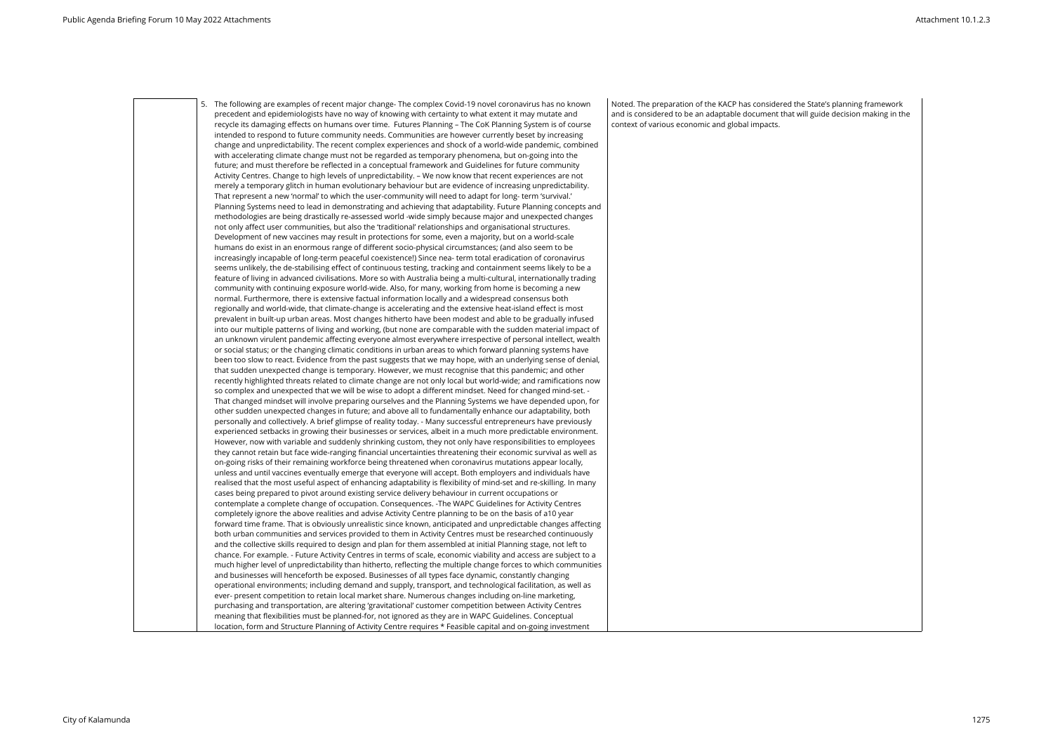5. The following are examples of recent major change- The complex Covid-19 novel coronavirus has no known precedent and epidemiologists have no way of knowing with certainty to what extent it may mutate and recycle its damaging effects on humans over time. Futures Planning – The CoK Planning System is of course intended to respond to future community needs. Communities are however currently beset by increasing change and unpredictability. The recent complex experiences and shock of a world-wide pandemic, combined with accelerating climate change must not be regarded as temporary phenomena, but on-going into the future; and must therefore be reflected in a conceptual framework and Guidelines for future community Activity Centres. Change to high levels of unpredictability. – We now know that recent experiences are not merely a temporary glitch in human evolutionary behaviour but are evidence of increasing unpredictability. That represent a new 'normal' to which the user-community will need to adapt for long- term 'survival.' Planning Systems need to lead in demonstrating and achieving that adaptability. Future Planning concepts and methodologies are being drastically re-assessed world -wide simply because major and unexpected changes not only affect user communities, but also the 'traditional' relationships and organisational structures. Development of new vaccines may result in protections for some, even a majority, but on a world-scale humans do exist in an enormous range of different socio-physical circumstances; (and also seem to be increasingly incapable of long-term peaceful coexistence!) Since nea- term total eradication of coronavirus seems unlikely, the de-stabilising effect of continuous testing, tracking and containment seems likely to be a feature of living in advanced civilisations. More so with Australia being a multi-cultural, internationally trading community with continuing exposure world-wide. Also, for many, working from home is becoming a new normal. Furthermore, there is extensive factual information locally and a widespread consensus both regionally and world-wide, that climate-change is accelerating and the extensive heat-island effect is most prevalent in built-up urban areas. Most changes hitherto have been modest and able to be gradually infused into our multiple patterns of living and working, (but none are comparable with the sudden material impact of an unknown virulent pandemic affecting everyone almost everywhere irrespective of personal intellect, wealth or social status; or the changing climatic conditions in urban areas to which forward planning systems have been too slow to react. Evidence from the past suggests that we may hope, with an underlying sense of denial, that sudden unexpected change is temporary. However, we must recognise that this pandemic; and other recently highlighted threats related to climate change are not only local but world-wide; and ramifications now so complex and unexpected that we will be wise to adopt a different mindset. Need for changed mind-set. - That changed mindset will involve preparing ourselves and the Planning Systems we have depended upon, for other sudden unexpected changes in future; and above all to fundamentally enhance our adaptability, both personally and collectively. A brief glimpse of reality today. - Many successful entrepreneurs have previously experienced setbacks in growing their businesses or services, albeit in a much more predictable environment. However, now with variable and suddenly shrinking custom, they not only have responsibilities to employees they cannot retain but face wide-ranging financial uncertainties threatening their economic survival as well as on-going risks of their remaining workforce being threatened when coronavirus mutations appear locally, unless and until vaccines eventually emerge that everyone will accept. Both employers and individuals have realised that the most useful aspect of enhancing adaptability is flexibility of mind-set and re-skilling. In many cases being prepared to pivot around existing service delivery behaviour in current occupations or contemplate a complete change of occupation. Consequences. -The WAPC Guidelines for Activity Centres completely ignore the above realities and advise Activity Centre planning to be on the basis of a10 year forward time frame. That is obviously unrealistic since known, anticipated and unpredictable changes affecting both urban communities and services provided to them in Activity Centres must be researched continuously and the collective skills required to design and plan for them assembled at initial Planning stage, not left to chance. For example. - Future Activity Centres in terms of scale, economic viability and access are subject to a much higher level of unpredictability than hitherto, reflecting the multiple change forces to which communities and businesses will henceforth be exposed. Businesses of all types face dynamic, constantly changing operational environments; including demand and supply, transport, and technological facilitation, as well as ever- present competition to retain local market share. Numerous changes including on-line marketing, purchasing and transportation, are altering 'gravitational' customer competition between Activity Centres meaning that flexibilities must be planned-for, not ignored as they are in WAPC Guidelines. Conceptual location, form and Structure Planning of Activity Centre requires \* Feasible capital and on-going investment

Noted. The preparation of the KACP has considered the State's planning framework and is considered to be an adaptable document that will guide decision making in the context of various economic and global impacts.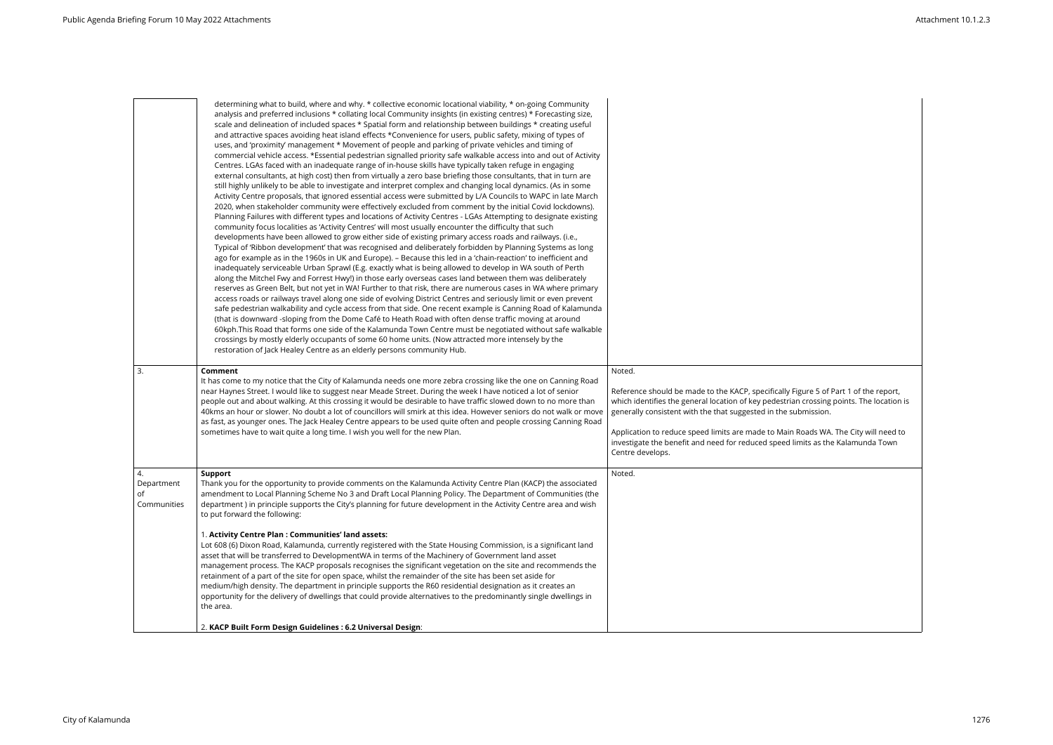|                                       | determining what to build, where and why. * collective economic locational viability, * on-going Community<br>analysis and preferred inclusions * collating local Community insights (in existing centres) * Forecasting size,<br>scale and delineation of included spaces * Spatial form and relationship between buildings * creating useful<br>and attractive spaces avoiding heat island effects *Convenience for users, public safety, mixing of types of<br>uses, and 'proximity' management * Movement of people and parking of private vehicles and timing of<br>commercial vehicle access. *Essential pedestrian signalled priority safe walkable access into and out of Activity<br>Centres. LGAs faced with an inadequate range of in-house skills have typically taken refuge in engaging<br>external consultants, at high cost) then from virtually a zero base briefing those consultants, that in turn are<br>still highly unlikely to be able to investigate and interpret complex and changing local dynamics. (As in some<br>Activity Centre proposals, that ignored essential access were submitted by L/A Councils to WAPC in late March<br>2020, when stakeholder community were effectively excluded from comment by the initial Covid lockdowns).<br>Planning Failures with different types and locations of Activity Centres - LGAs Attempting to designate existing<br>community focus localities as 'Activity Centres' will most usually encounter the difficulty that such<br>developments have been allowed to grow either side of existing primary access roads and railways. (i.e.,<br>Typical of 'Ribbon development' that was recognised and deliberately forbidden by Planning Systems as long<br>ago for example as in the 1960s in UK and Europe). - Because this led in a 'chain-reaction' to inefficient and<br>inadequately serviceable Urban Sprawl (E.g. exactly what is being allowed to develop in WA south of Perth<br>along the Mitchel Fwy and Forrest Hwy!) in those early overseas cases land between them was deliberately<br>reserves as Green Belt, but not yet in WA! Further to that risk, there are numerous cases in WA where primary<br>access roads or railways travel along one side of evolving District Centres and seriously limit or even prevent<br>safe pedestrian walkability and cycle access from that side. One recent example is Canning Road of Kalamunda<br>(that is downward -sloping from the Dome Café to Heath Road with often dense traffic moving at around<br>60kph. This Road that forms one side of the Kalamunda Town Centre must be negotiated without safe walkable<br>crossings by mostly elderly occupants of some 60 home units. (Now attracted more intensely by the<br>restoration of Jack Healey Centre as an elderly persons community Hub. |                                                                                                                                                                                                                                                                                                                                                                                                                                                             |
|---------------------------------------|--------------------------------------------------------------------------------------------------------------------------------------------------------------------------------------------------------------------------------------------------------------------------------------------------------------------------------------------------------------------------------------------------------------------------------------------------------------------------------------------------------------------------------------------------------------------------------------------------------------------------------------------------------------------------------------------------------------------------------------------------------------------------------------------------------------------------------------------------------------------------------------------------------------------------------------------------------------------------------------------------------------------------------------------------------------------------------------------------------------------------------------------------------------------------------------------------------------------------------------------------------------------------------------------------------------------------------------------------------------------------------------------------------------------------------------------------------------------------------------------------------------------------------------------------------------------------------------------------------------------------------------------------------------------------------------------------------------------------------------------------------------------------------------------------------------------------------------------------------------------------------------------------------------------------------------------------------------------------------------------------------------------------------------------------------------------------------------------------------------------------------------------------------------------------------------------------------------------------------------------------------------------------------------------------------------------------------------------------------------------------------------------------------------------------------------------------------------------------------------------------------------------------------------------------------------------------------------------------------------------------------------------------------------------------------------------------------------------------------------------------------------------------------------------------------------------------------------|-------------------------------------------------------------------------------------------------------------------------------------------------------------------------------------------------------------------------------------------------------------------------------------------------------------------------------------------------------------------------------------------------------------------------------------------------------------|
| 3.                                    | Comment<br>It has come to my notice that the City of Kalamunda needs one more zebra crossing like the one on Canning Road<br>near Haynes Street. I would like to suggest near Meade Street. During the week I have noticed a lot of senior<br>people out and about walking. At this crossing it would be desirable to have traffic slowed down to no more than<br>40kms an hour or slower. No doubt a lot of councillors will smirk at this idea. However seniors do not walk or move<br>as fast, as younger ones. The Jack Healey Centre appears to be used quite often and people crossing Canning Road<br>sometimes have to wait quite a long time. I wish you well for the new Plan.                                                                                                                                                                                                                                                                                                                                                                                                                                                                                                                                                                                                                                                                                                                                                                                                                                                                                                                                                                                                                                                                                                                                                                                                                                                                                                                                                                                                                                                                                                                                                                                                                                                                                                                                                                                                                                                                                                                                                                                                                                                                                                                                             | Noted.<br>Reference should be made to the KACP, specifically Figure 5 of Part 1 of the report,<br>which identifies the general location of key pedestrian crossing points. The location is<br>generally consistent with the that suggested in the submission.<br>Application to reduce speed limits are made to Main Roads WA. The City will need to<br>investigate the benefit and need for reduced speed limits as the Kalamunda Town<br>Centre develops. |
| 4.<br>Department<br>οf<br>Communities | <b>Support</b><br>Thank you for the opportunity to provide comments on the Kalamunda Activity Centre Plan (KACP) the associated<br>amendment to Local Planning Scheme No 3 and Draft Local Planning Policy. The Department of Communities (the<br>department) in principle supports the City's planning for future development in the Activity Centre area and wish<br>to put forward the following:<br>1. Activity Centre Plan : Communities' land assets:<br>Lot 608 (6) Dixon Road, Kalamunda, currently registered with the State Housing Commission, is a significant land<br>asset that will be transferred to DevelopmentWA in terms of the Machinery of Government land asset<br>management process. The KACP proposals recognises the significant vegetation on the site and recommends the<br>retainment of a part of the site for open space, whilst the remainder of the site has been set aside for<br>medium/high density. The department in principle supports the R60 residential designation as it creates an<br>opportunity for the delivery of dwellings that could provide alternatives to the predominantly single dwellings in<br>the area.<br>2. KACP Built Form Design Guidelines : 6.2 Universal Design:                                                                                                                                                                                                                                                                                                                                                                                                                                                                                                                                                                                                                                                                                                                                                                                                                                                                                                                                                                                                                                                                                                                                                                                                                                                                                                                                                                                                                                                                                                                                                                                                    | Noted.                                                                                                                                                                                                                                                                                                                                                                                                                                                      |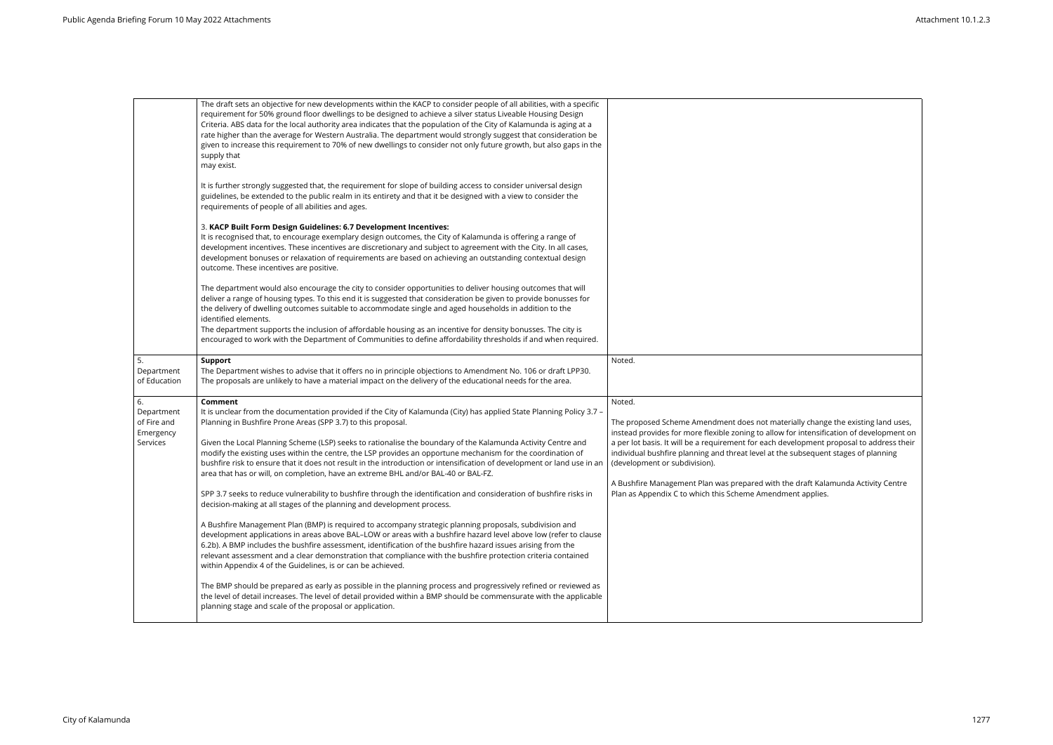|                                                          | The draft sets an objective for new developments within the KACP to consider people of all abilities, with a specific<br>requirement for 50% ground floor dwellings to be designed to achieve a silver status Liveable Housing Design<br>Criteria. ABS data for the local authority area indicates that the population of the City of Kalamunda is aging at a<br>rate higher than the average for Western Australia. The department would strongly suggest that consideration be<br>given to increase this requirement to 70% of new dwellings to consider not only future growth, but also gaps in the<br>supply that<br>may exist.                                                                                                                                                                                                                                                                                                                                                                                                                                                                                                                                                             |                                                                                                                                                                                                                                                                                                                                                                                                                                                                                                                                                             |
|----------------------------------------------------------|--------------------------------------------------------------------------------------------------------------------------------------------------------------------------------------------------------------------------------------------------------------------------------------------------------------------------------------------------------------------------------------------------------------------------------------------------------------------------------------------------------------------------------------------------------------------------------------------------------------------------------------------------------------------------------------------------------------------------------------------------------------------------------------------------------------------------------------------------------------------------------------------------------------------------------------------------------------------------------------------------------------------------------------------------------------------------------------------------------------------------------------------------------------------------------------------------|-------------------------------------------------------------------------------------------------------------------------------------------------------------------------------------------------------------------------------------------------------------------------------------------------------------------------------------------------------------------------------------------------------------------------------------------------------------------------------------------------------------------------------------------------------------|
|                                                          | It is further strongly suggested that, the requirement for slope of building access to consider universal design<br>guidelines, be extended to the public realm in its entirety and that it be designed with a view to consider the<br>requirements of people of all abilities and ages.                                                                                                                                                                                                                                                                                                                                                                                                                                                                                                                                                                                                                                                                                                                                                                                                                                                                                                         |                                                                                                                                                                                                                                                                                                                                                                                                                                                                                                                                                             |
|                                                          | 3. KACP Built Form Design Guidelines: 6.7 Development Incentives:<br>It is recognised that, to encourage exemplary design outcomes, the City of Kalamunda is offering a range of<br>development incentives. These incentives are discretionary and subject to agreement with the City. In all cases,<br>development bonuses or relaxation of requirements are based on achieving an outstanding contextual design<br>outcome. These incentives are positive.                                                                                                                                                                                                                                                                                                                                                                                                                                                                                                                                                                                                                                                                                                                                     |                                                                                                                                                                                                                                                                                                                                                                                                                                                                                                                                                             |
|                                                          | The department would also encourage the city to consider opportunities to deliver housing outcomes that will<br>deliver a range of housing types. To this end it is suggested that consideration be given to provide bonusses for<br>the delivery of dwelling outcomes suitable to accommodate single and aged households in addition to the<br>identified elements.<br>The department supports the inclusion of affordable housing as an incentive for density bonusses. The city is<br>encouraged to work with the Department of Communities to define affordability thresholds if and when required.                                                                                                                                                                                                                                                                                                                                                                                                                                                                                                                                                                                          |                                                                                                                                                                                                                                                                                                                                                                                                                                                                                                                                                             |
| 5.<br>Department<br>of Education                         | <b>Support</b><br>The Department wishes to advise that it offers no in principle objections to Amendment No. 106 or draft LPP30.<br>The proposals are unlikely to have a material impact on the delivery of the educational needs for the area.                                                                                                                                                                                                                                                                                                                                                                                                                                                                                                                                                                                                                                                                                                                                                                                                                                                                                                                                                  | Noted.                                                                                                                                                                                                                                                                                                                                                                                                                                                                                                                                                      |
| 6.<br>Department<br>of Fire and<br>Emergency<br>Services | Comment<br>It is unclear from the documentation provided if the City of Kalamunda (City) has applied State Planning Policy 3.7 -<br>Planning in Bushfire Prone Areas (SPP 3.7) to this proposal.<br>Given the Local Planning Scheme (LSP) seeks to rationalise the boundary of the Kalamunda Activity Centre and<br>modify the existing uses within the centre, the LSP provides an opportune mechanism for the coordination of<br>bushfire risk to ensure that it does not result in the introduction or intensification of development or land use in an<br>area that has or will, on completion, have an extreme BHL and/or BAL-40 or BAL-FZ.<br>SPP 3.7 seeks to reduce vulnerability to bushfire through the identification and consideration of bushfire risks in<br>decision-making at all stages of the planning and development process.<br>A Bushfire Management Plan (BMP) is required to accompany strategic planning proposals, subdivision and<br>development applications in areas above BAL-LOW or areas with a bushfire hazard level above low (refer to clause<br>6.2b). A BMP includes the bushfire assessment, identification of the bushfire hazard issues arising from the | Noted.<br>The proposed Scheme Amendment does not materially change the existing land uses,<br>instead provides for more flexible zoning to allow for intensification of development on<br>a per lot basis. It will be a requirement for each development proposal to address their<br>individual bushfire planning and threat level at the subsequent stages of planning<br>(development or subdivision).<br>A Bushfire Management Plan was prepared with the draft Kalamunda Activity Centre<br>Plan as Appendix C to which this Scheme Amendment applies. |
|                                                          | relevant assessment and a clear demonstration that compliance with the bushfire protection criteria contained<br>within Appendix 4 of the Guidelines, is or can be achieved.<br>The BMP should be prepared as early as possible in the planning process and progressively refined or reviewed as<br>the level of detail increases. The level of detail provided within a BMP should be commensurate with the applicable<br>planning stage and scale of the proposal or application.                                                                                                                                                                                                                                                                                                                                                                                                                                                                                                                                                                                                                                                                                                              |                                                                                                                                                                                                                                                                                                                                                                                                                                                                                                                                                             |